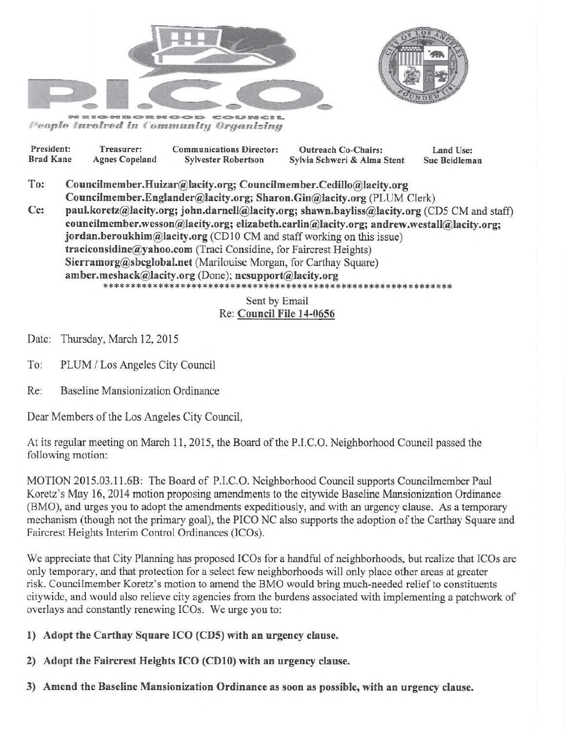



People Involved in Community Organizing

| President:       |                                                                                              | Treasurer:            | <b>Communications Director:</b> | <b>Outreach Co-Chairs:</b>  | Land Use:     |
|------------------|----------------------------------------------------------------------------------------------|-----------------------|---------------------------------|-----------------------------|---------------|
| <b>Brad Kane</b> |                                                                                              | <b>Agnes Copeland</b> | <b>Sylvester Robertson</b>      | Sylvia Schweri & Alma Stent | Sue Beidleman |
| To:              | Councilmember.Huizar@lacity.org; Councilmember.Cedillo@lacity.org                            |                       |                                 |                             |               |
|                  | Councilmember.Englander@lacity.org; Sharon.Gin@lacity.org (PLUM Clerk)                       |                       |                                 |                             |               |
| Ce:              | paul.koretz@lacity.org; john.darnell@lacity.org; shawn.bayliss@lacity.org (CD5 CM and staff) |                       |                                 |                             |               |
|                  | councilmember.wesson@lacity.org; elizabeth.carlin@lacity.org; andrew.westall@lacity.org;     |                       |                                 |                             |               |
|                  | jordan.beroukhim@lacity.org (CD10 CM and staff working on this issue)                        |                       |                                 |                             |               |
|                  | traciconsidine@yahoo.com (Traci Considine, for Faircrest Heights)                            |                       |                                 |                             |               |
|                  | Sierramorg@sbcglobal.net (Marilouise Morgan, for Carthay Square)                             |                       |                                 |                             |               |
|                  | amber.meshack@lacity.org (Done); ncsupport@lacity.org                                        |                       |                                 |                             |               |
|                  |                                                                                              |                       | <b>Sant by Email</b>            |                             |               |

## Sent by Email Re: Council File 14-0656

Date: Thursday, March 12, 2015

To: PLUM / Los Angeles City Council

Re: Baseline Mansionization Ordinance

Dear Members of the Los Angeles City Council,

At its regular meeting on March 11, 2015, the Board of the P.I.C.O. Neighborhood Council passed the following motion:

MOTION 2015.03.11.6B: The Board of P.I.C.O. Neighborhood Council supports Councilmember Paul Koretz's May 16, 2014 motion proposing amendments to the citywide Baseline Mansionization Ordinance (BMO), and urges you to adopt the amendments expeditiously, and with an urgency clause. As a temporary mechanism (though not the primary goal), the PICO NC also supports the adoption of the Carthay Square and Faircrest Heights Interim Control Ordinances (ICOs).

We appreciate that City Planning has proposed ICOs for a handful of neighborhoods, but realize that ICOs are only temporary, and that protection for a select few neighborhoods will only place other areas at greater risk. Councilmember Koretz's motion to amend the BMO would bring much-needed relief to constituents citywide, and would also relieve city agencies from the burdens associated with implementing a patchwork of overlays and constantly renewing ICOs. We urge you to:

1) Adopt the Carthay Square ICO (CD5) with an urgency clause.

2) Adopt the Faircrest Heights ICO (CD10) with an urgency clause.

3) Amend the Baseline Mansionization Ordinance as soon as possible, with an urgency clause.